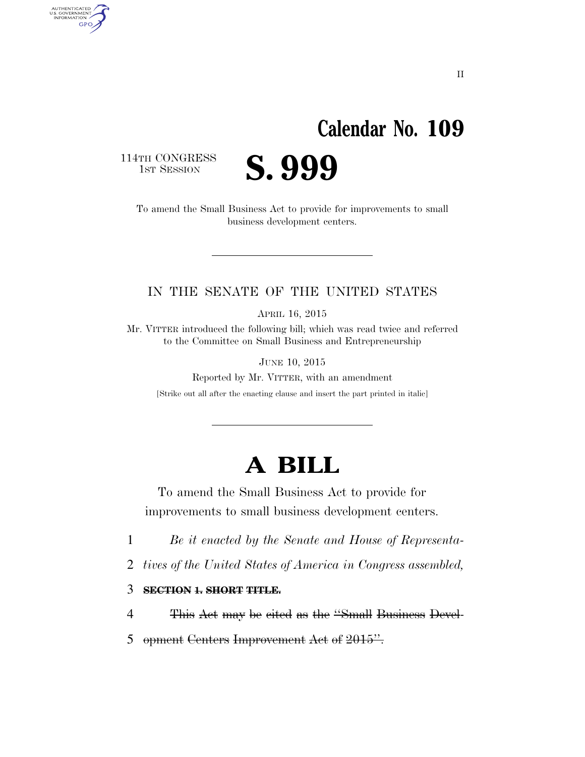## **Calendar No. 109**

114TH CONGRESS<br>1st Session

AUTHENTICATED<br>U.S. GOVERNMENT<br>INFORMATION

**GPO** 

S. 999

To amend the Small Business Act to provide for improvements to small business development centers.

#### IN THE SENATE OF THE UNITED STATES

APRIL 16, 2015

Mr. VITTER introduced the following bill; which was read twice and referred to the Committee on Small Business and Entrepreneurship

JUNE 10, 2015

Reported by Mr. VITTER, with an amendment [Strike out all after the enacting clause and insert the part printed in italic]

### **A BILL**

To amend the Small Business Act to provide for improvements to small business development centers.

1 *Be it enacted by the Senate and House of Representa-*

- 2 *tives of the United States of America in Congress assembled,*
- 3 **SECTION 1. SHORT TITLE.**
- 4 This Act may be cited as the ''Small Business Devel-
- 5 opment Centers Improvement Act of 2015".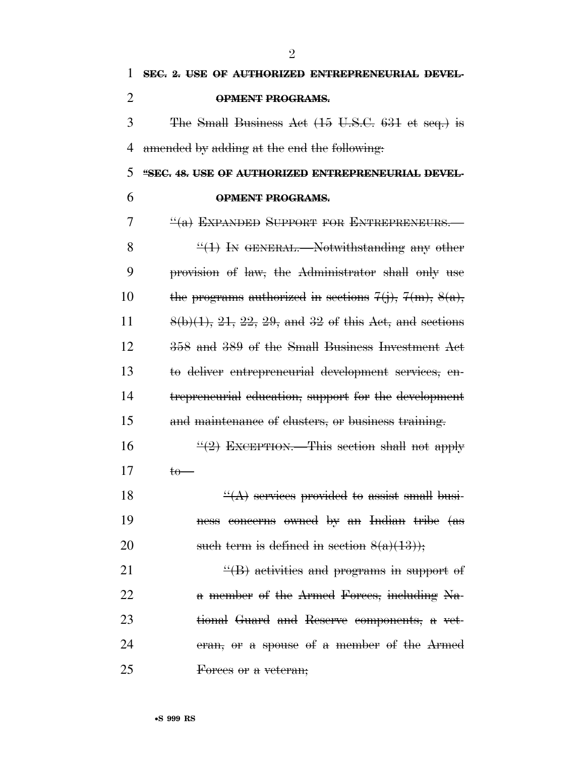| 1              | SEC. 2. USE OF AUTHORIZED ENTREPRENEURIAL DEVEL-                    |
|----------------|---------------------------------------------------------------------|
| $\overline{2}$ | <b>OPMENT PROGRAMS.</b>                                             |
| 3              | The Small Business Act (15 U.S.C. 631 et seq.) is                   |
| 4              | amended by adding at the end the following.                         |
| 5              | "SEC. 48. USE OF AUTHORIZED ENTREPRENEURIAL DEVEL-                  |
| 6              | <b>OPMENT PROGRAMS.</b>                                             |
| 7              | $\frac{H}{B}$ EXPANDED SUPPORT FOR ENTREPRENEURS.                   |
| 8              | $\frac{11}{11}$ In GENERAL.—Notwithstanding any other               |
| 9              | provision of law, the Administrator shall only use                  |
| 10             | the programs authorized in sections $7(j)$ , $7(m)$ , $8(a)$ ,      |
| 11             | $8(b)(1)$ , $21$ , $22$ , $29$ , and $32$ of this Act, and sections |
| 12             | 358 and 389 of the Small Business Investment Act                    |
| 13             | to deliver entrepreneurial development services, en-                |
| 14             | trepreneurial education, support for the development                |
| 15             | and maintenance of clusters, or business training.                  |
| 16             | $\frac{11}{2}$ EXCEPTION. This section shall not apply              |
| 17             | $t_{0}$ —                                                           |
| 18             | $\frac{H(A)}{A}$ services provided to assist small busi-            |
| 19             | ness concerns owned by an Indian tribe (as                          |
| 20             | such term is defined in section $8(a)(13)$ ;                        |
| 21             | $\frac{H}{B}$ activities and programs in support of                 |
| 22             | a member of the Armed Forces, including Na-                         |
| 23             | tional Guard and Reserve components, a vet-                         |
| 24             | eran, or a spouse of a member of the Armed                          |
| 25             | Forces or a veteran;                                                |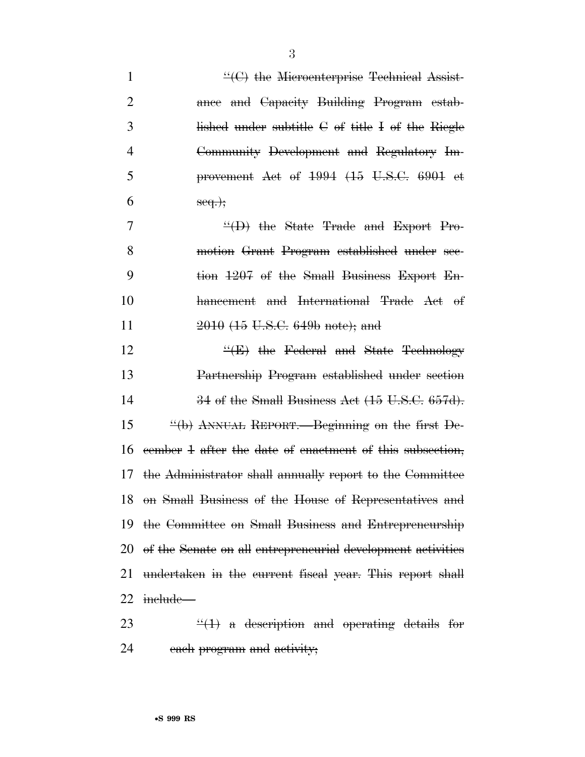| $\mathbf{1}$   | $\mathcal{L}(\mathcal{C})$ the Microenterprise Technical Assist-                 |
|----------------|----------------------------------------------------------------------------------|
| $\overline{2}$ | ance and Capacity Building Program estab-                                        |
| 3              | lished under subtitle $C$ of title I of the Riegle                               |
| $\overline{4}$ | Community Development and Regulatory Im-                                         |
| 5              | provement Act of 1994 (15 U.S.C. 6901 et                                         |
| 6              | $seq.$ ;                                                                         |
| 7              | $\frac{H}{H}$ the State Trade and Export Pro-                                    |
| 8              | motion Grant Program established under see-                                      |
| 9              | tion 1207 of the Small Business Export En-                                       |
| 10             | hancement and International Trade Act of                                         |
| 11             | 2010 (15 U.S.C. 649b note); and                                                  |
| 12             | $\frac{H}{E}$ the Federal and State Technology                                   |
| 13             | Partnership Program established under section                                    |
| 14             | $34$ of the Small Business Act $(15 \text{ U.S.C. } 657d)$ .                     |
| 15             | $\frac{H_{\text{H}}}{H_{\text{H}}(h)}$ ANNUAL REPORT.—Beginning on the first De- |
| 16             | eember 4 after the date of enactment of this subsection,                         |
| 17             | the Administrator shall annually report to the Committee                         |
|                | 18 on Small Business of the House of Representatives and                         |
|                | 19 the Committee on Small Business and Entrepreneurship                          |
|                | 20 of the Senate on all entrepreneurial development activities                   |
| 21             | undertaken in the current fiscal year. This report shall                         |
|                | 22 <del>include—</del>                                                           |
| 23             | $\frac{1}{2}(1)$ a description and operating details for                         |

each program and activity;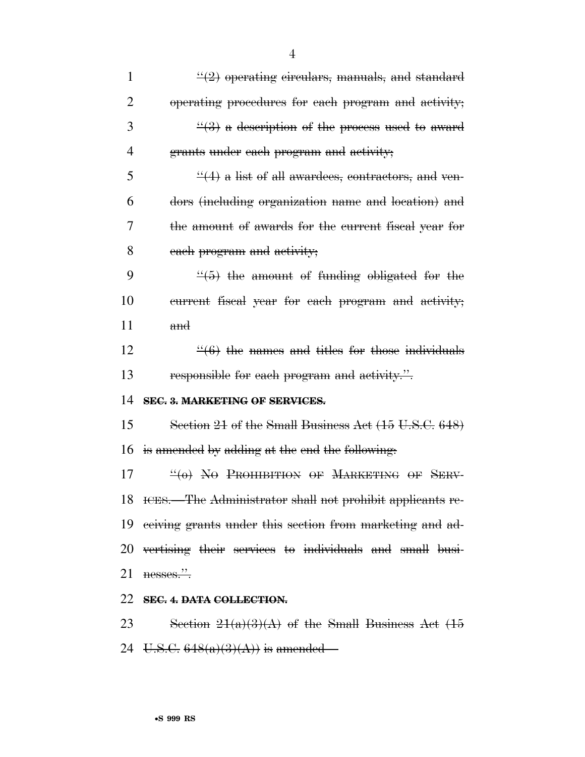| $\mathbf{1}$ | $\frac{1}{2}$ operating circulars, manuals, and standard             |
|--------------|----------------------------------------------------------------------|
| 2            | operating procedures for each program and activity;                  |
| 3            | $\frac{1}{2}$ a description of the process used to award             |
| 4            | grants under each program and activity;                              |
| 5            | $\frac{44}{4}$ a list of all awardees, contractors, and ven-         |
| 6            | dors (including organization name and location) and                  |
| 7            | the amount of awards for the current fiscal year for                 |
| 8            | each program and activity;                                           |
| 9            | $\frac{4}{5}$ the amount of funding obligated for the                |
| 10           | eurrent fiseal year for each program and activity;                   |
| 11           | and                                                                  |
| 12           | $\frac{4}{6}$ the names and titles for those individuals             |
| 13           | responsible for each program and activity.".                         |
| 14           | SEC. 3. MARKETING OF SERVICES.                                       |
| 15           | Section 21 of the Small Business Act (15 U.S.C. 648)                 |
| 16           | is amended by adding at the end the following.                       |
| 17           | $\frac{H}{H}(\theta)$ No Prohibition of Marketing of Serv-           |
|              | 18 ICES.—The Administrator shall not prohibit applicants re-         |
|              | 19 eeiving grants under this section from marketing and ad-          |
|              | 20 vertising their services to individuals and small busi-           |
| 21           | nesses.".                                                            |
|              | 22 SEC. 4. DATA COLLECTION.                                          |
|              | $23$ Soction $21(a)(3)(A)$ of the Small Business $A_{\text{et}}$ (15 |

23 Section  $21(a)(3)(A)$  of the Small Business Act  $(15)$ 24 U.S.C.  $648(a)(3)(A)$  is amended—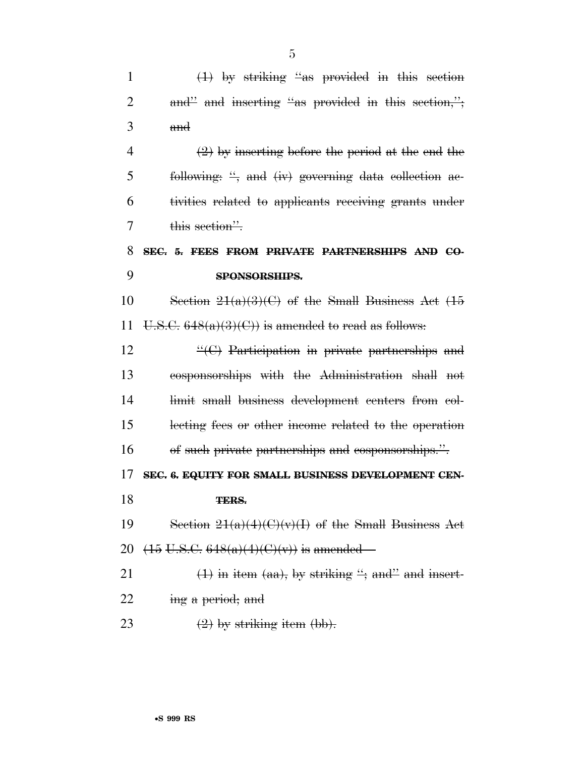1  $(1)$  by striking "as provided in this section 2 and inserting "as provided in this section,"; 3 and 4  $(2)$  by inserting before the period at the end the 5 following:  $\frac{1}{2}$  and  $(iy)$  governing data collection ac-6 tivities related to applicants receiving grants under 7 this section". 8 **SEC. 5. FEES FROM PRIVATE PARTNERSHIPS AND CO-**9 **SPONSORSHIPS.**  10 Section  $21(a)(3)(C)$  of the Small Business Act  $(15)$ 11 U.S.C.  $648(a)(3)(C)$  is amended to read as follows: 12  $\left( \textrm{``(C)} \right)$  Participation in private partnerships and 13 cosponsorships with the Administration shall not 14 limit small business development centers from col-15 lecting fees or other income related to the operation 16 of such private partnerships and cosponsorships.''. 17 **SEC. 6. EQUITY FOR SMALL BUSINESS DEVELOPMENT CEN-**18 **TERS.**  19 Section  $21(a)(4)(C)(v)(1)$  of the Small Business Act 20  $(15 \text{ U.S.C. } 648(a)(4)(C)(v))$  is amended— 21  $(1)$  in item (aa), by striking "; and" and insert-22 ing a period; and

23  $(2)$  by striking item (bb).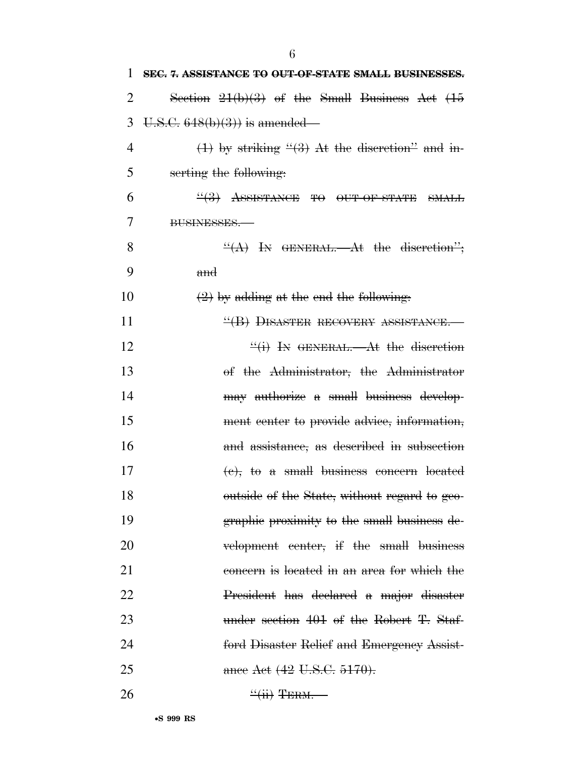| 1  | SEC. 7. ASSISTANCE TO OUT-OF-STATE SMALL BUSINESSES. |
|----|------------------------------------------------------|
| 2  | Section $21(b)(3)$ of the Small Business Act $(15)$  |
| 3  | $U.S.C. 648(b)(3)$ is amended—                       |
| 4  | $(1)$ by striking " $(3)$ At the discretion" and in- |
| 5  | serting the following:                               |
| 6  | $\frac{44}{3}$ ASSISTANCE TO OUT-OF-STATE SMALL      |
| 7  | BUSINESSES.                                          |
| 8  | $\frac{H(A)}{H(A)}$ In GENERAL. At the discretion";  |
| 9  | and                                                  |
| 10 | $(2)$ by adding at the end the following.            |
| 11 | "(B) DISASTER RECOVERY ASSISTANCE.                   |
| 12 | $\frac{f'(i)}{i}$ In GENERAL.—At the discretion      |
| 13 | of the Administrator, the Administrator              |
| 14 | may authorize a small business develop-              |
| 15 | ment center to provide advice, information,          |
| 16 | and assistance, as described in subsection           |
| 17 | $(e)$ , to a small business concern located          |
| 18 | outside of the State, without regard to geo-         |
| 19 | graphic proximity to the small business de-          |
| 20 | velopment eenter, if the small business              |
| 21 | concern is located in an area for which the          |
| 22 | President has declared a major disaster              |
| 23 | under section 401 of the Robert T. Staf-             |
| 24 | ford Disaster Relief and Emergency Assist-           |
| 25 | ance Act (42 U.S.C. 5170).                           |
| 26 | $\frac{``(ii)}{$ TERM.                               |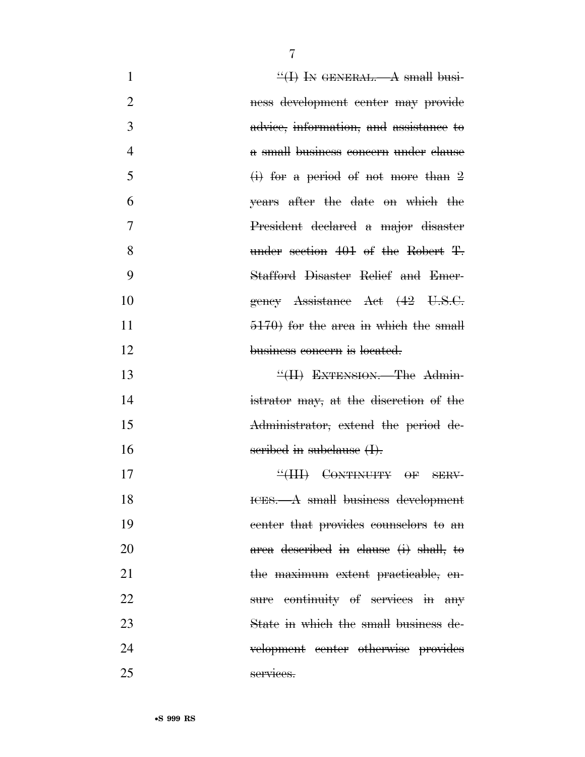| $\mathbf{1}$   | $\frac{H}{H}$ In GENERAL.—A small busi- |
|----------------|-----------------------------------------|
| $\overline{2}$ | ness development center may provide     |
| 3              | advice, information, and assistance to  |
| $\overline{4}$ | a small business concern under clause   |
| 5              | $(i)$ for a period of not more than 2   |
| 6              | years after the date on which the       |
| 7              | President declared a major disaster     |
| 8              | under section 401 of the Robert T.      |
| 9              | Stafford Disaster Relief and Emer-      |
| 10             | gency Assistance Act (42 U.S.C.         |
| 11             | $5170$ for the area in which the small  |
| 12             | business concern is located.            |
| 13             | "(II) EXTENSION. The Admin-             |
| 14             | istrator may, at the discretion of the  |
| 15             | Administrator, extend the period de-    |
| 16             | seribed in subclause (I).               |
| 17             | "(III) CONTINUITY OF SERV-              |
| 18             | ICES. A small business development      |
| 19             | center that provides counselors to an   |
| 20             | area described in clause (i) shall, to  |
| 21             | the maximum extent practicable, en-     |
| 22             | sure continuity of services in any      |
| 23             | State in which the small business de-   |
| 24             | velopment center otherwise provides     |
| 25             | services.                               |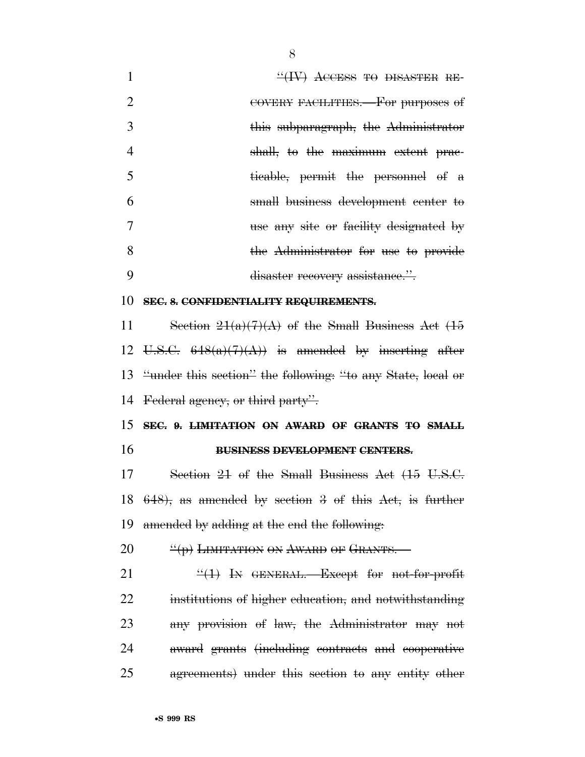| $\mathbf{1}$   | $H(W)$ ACCESS TO DISASTER RE-                                  |
|----------------|----------------------------------------------------------------|
| $\overline{2}$ | COVERY FACILITIES. For purposes of                             |
| 3              | this subparagraph, the Administrator                           |
| 4              | shall, to the maximum extent prac-                             |
| 5              | ticable, permit the personnel of a                             |
| 6              | small business development center to                           |
| 7              | use any site or facility designated by                         |
| 8              | the Administrator for use to provide                           |
| 9              | disaster recovery assistance.".                                |
| 10             | SEC. 8. CONFIDENTIALITY REQUIREMENTS.                          |
| 11             | Section $21(a)(7)(A)$ of the Small Business Act (15            |
|                | 12 U.S.C. $648(a)(7)(A)$ is amended by inserting after         |
|                | 13 "under this section" the following: "to any State, local or |
|                | 14 Federal agency, or third party".                            |
|                | 15 SEC. 9. LIMITATION ON AWARD OF GRANTS TO SMALL              |
| 16             | <b>BUSINESS DEVELOPMENT CENTERS.</b>                           |
| 17             | Section 21 of the Small Business Act (15 U.S.C.                |
| 18             | $648$ , as amended by section 3 of this Act, is further        |
| 19             | amended by adding at the end the following.                    |
| 20             | "(p) LIMITATION ON AWARD OF GRANTS.                            |
| 21             | $\frac{11}{1}$ In GENERAL. Except for not-for-profit           |
| 22             | institutions of higher education, and notwithstanding          |
| 23             | any provision of law, the Administrator may not                |
| 24             | award grants (including contracts and cooperative              |
| 25             | agreements) under this section to any entity other             |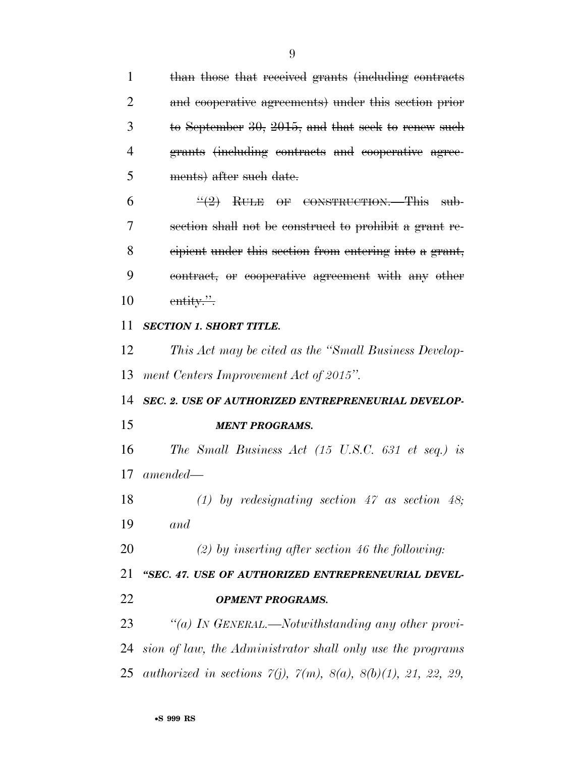than those that received grants (including contracts and cooperative agreements) under this section prior to September 30, 2015, and that seek to renew such grants (including contracts and cooperative agree- ments) after such date.  $6 \frac{((2)}{12}$  RULE OF CONSTRUCTION. This sub- section shall not be construed to prohibit a grant re- cipient under this section from entering into a grant, contract, or cooperative agreement with any other 10 entity." *SECTION 1. SHORT TITLE. This Act may be cited as the ''Small Business Develop- ment Centers Improvement Act of 2015''. SEC. 2. USE OF AUTHORIZED ENTREPRENEURIAL DEVELOP- MENT PROGRAMS. The Small Business Act (15 U.S.C. 631 et seq.) is amended— (1) by redesignating section 47 as section 48; and (2) by inserting after section 46 the following: ''SEC. 47. USE OF AUTHORIZED ENTREPRENEURIAL DEVEL- OPMENT PROGRAMS. ''(a) IN GENERAL.—Notwithstanding any other provi- sion of law, the Administrator shall only use the programs authorized in sections 7(j), 7(m), 8(a), 8(b)(1), 21, 22, 29,*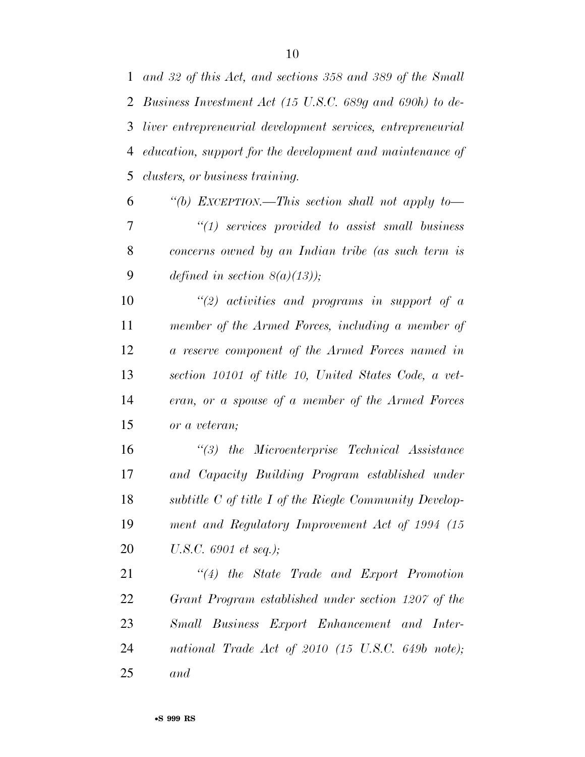*and 32 of this Act, and sections 358 and 389 of the Small Business Investment Act (15 U.S.C. 689g and 690h) to de- liver entrepreneurial development services, entrepreneurial education, support for the development and maintenance of clusters, or business training.* 

 *''(b) EXCEPTION.—This section shall not apply to— ''(1) services provided to assist small business concerns owned by an Indian tribe (as such term is defined in section 8(a)(13));* 

 *''(2) activities and programs in support of a member of the Armed Forces, including a member of a reserve component of the Armed Forces named in section 10101 of title 10, United States Code, a vet- eran, or a spouse of a member of the Armed Forces or a veteran;* 

 *''(3) the Microenterprise Technical Assistance and Capacity Building Program established under subtitle C of title I of the Riegle Community Develop- ment and Regulatory Improvement Act of 1994 (15 U.S.C. 6901 et seq.);* 

 *''(4) the State Trade and Export Promotion Grant Program established under section 1207 of the Small Business Export Enhancement and Inter- national Trade Act of 2010 (15 U.S.C. 649b note); and*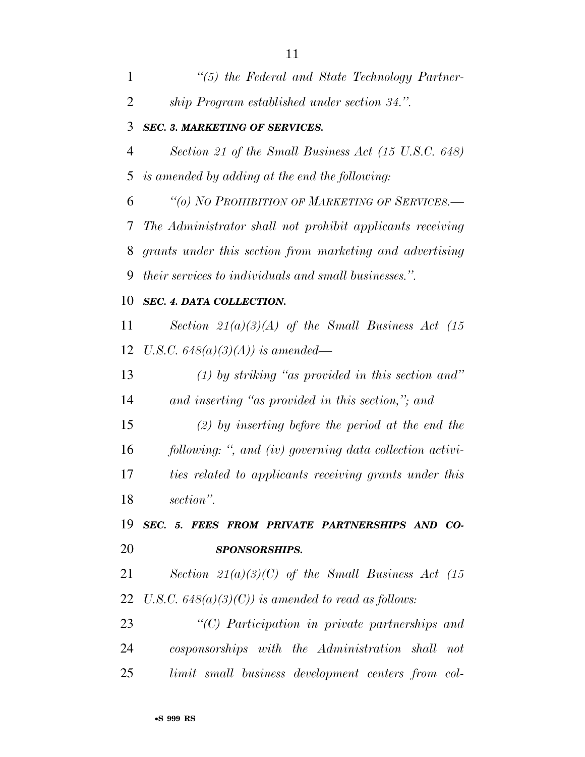| 1  | $\lq(5)$ the Federal and State Technology Partner-            |
|----|---------------------------------------------------------------|
| 2  | ship Program established under section 34.".                  |
| 3  | <b>SEC. 3. MARKETING OF SERVICES.</b>                         |
| 4  | Section 21 of the Small Business Act (15 U.S.C. 648)          |
| 5  | is amended by adding at the end the following:                |
| 6  | "(o) NO PROHIBITION OF MARKETING OF SERVICES.-                |
| 7  | The Administrator shall not prohibit applicants receiving     |
| 8  | grants under this section from marketing and advertising      |
| 9  | <i>their services to individuals and small businesses."</i> . |
| 10 | SEC. 4. DATA COLLECTION.                                      |
| 11 | Section $21(a)(3)(A)$ of the Small Business Act (15)          |
| 12 | U.S.C. $648(a)(3)(A)$ is amended—                             |
| 13 | $(1)$ by striking "as provided in this section and"           |
| 14 | and inserting "as provided in this section,"; and             |
| 15 | $(2)$ by inserting before the period at the end the           |
| 16 | following: ", and (iv) governing data collection activi-      |
| 17 | ties related to applicants receiving grants under this        |
| 18 | section".                                                     |
| 19 | SEC. 5. FEES FROM PRIVATE PARTNERSHIPS AND CO-                |
| 20 | <b>SPONSORSHIPS.</b>                                          |
| 21 | Section $21(a)(3)(C)$ of the Small Business Act (15)          |
| 22 | U.S.C. $648(a)(3)(C)$ is amended to read as follows:          |
| 23 | "(C) Participation in private partnerships and                |
| 24 | cosponsorships with the Administration shall<br>not           |
| 25 | limit small business development centers from col-            |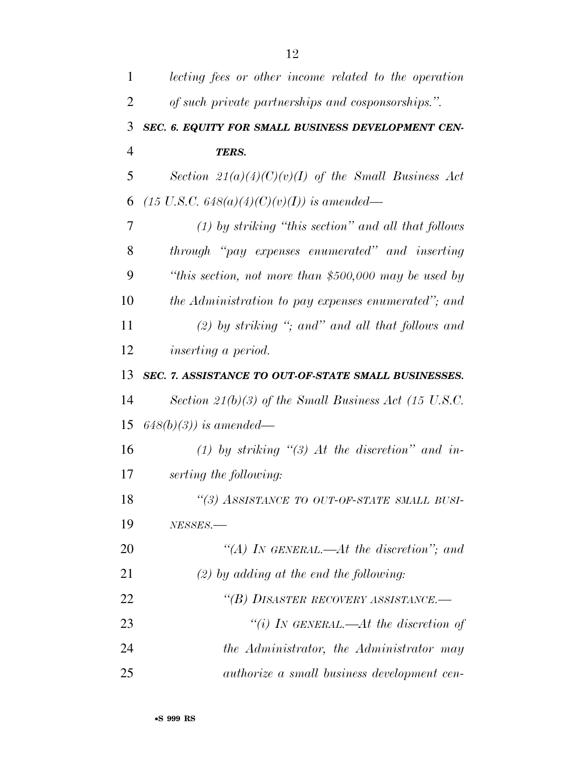| 1              | lecting fees or other income related to the operation |
|----------------|-------------------------------------------------------|
| $\overline{2}$ | of such private partnerships and cosponsorships.".    |
| 3              | SEC. 6. EQUITY FOR SMALL BUSINESS DEVELOPMENT CEN-    |
| $\overline{4}$ | TERS.                                                 |
| 5              | Section $21(a)(4)(C)(v)(I)$ of the Small Business Act |
| 6              | $(15 \text{ U.S.C. } 648(a)(4)(C)(v)(I))$ is amended— |
| 7              | $(1)$ by striking "this section" and all that follows |
| 8              | through "pay expenses enumerated" and inserting       |
| 9              | "this section, not more than \$500,000 may be used by |
| 10             | the Administration to pay expenses enumerated"; and   |
| 11             | $(2)$ by striking "; and" and all that follows and    |
| 12             | <i>inserting a period.</i>                            |
| 13             | SEC. 7. ASSISTANCE TO OUT-OF-STATE SMALL BUSINESSES.  |
| 14             | Section 21(b)(3) of the Small Business Act (15 U.S.C. |
| 15             | $648(b)(3)$ ) is amended—                             |
| 16             | (1) by striking "(3) At the discretion" and in-       |
| 17             | serting the following:                                |
| 18             | "(3) ASSISTANCE TO OUT-OF-STATE SMALL BUSI-           |
| 19             | NESSES.                                               |
| 20             | "(A) IN GENERAL.—At the discretion"; and              |
| 21             | $(2)$ by adding at the end the following:             |
| 22             | "(B) DISASTER RECOVERY ASSISTANCE.-                   |
| 23             | "(i) IN GENERAL.—At the discretion of                 |
| 24             | the Administrator, the Administrator may              |
| 25             | <i>authorize a small business development cen-</i>    |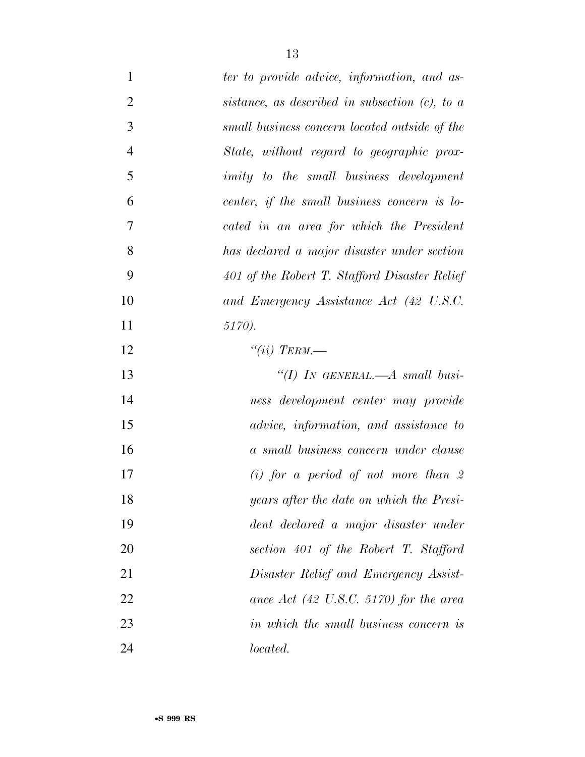| $\mathbf{1}$   | ter to provide advice, information, and as-       |
|----------------|---------------------------------------------------|
| $\overline{2}$ | sistance, as described in subsection $(c)$ , to a |
| 3              | small business concern located outside of the     |
| $\overline{4}$ | State, without regard to geographic prox-         |
| 5              | <i>imity</i> to the small business development    |
| 6              | center, if the small business concern is lo-      |
| $\tau$         | cated in an area for which the President          |
| 8              | has declared a major disaster under section       |
| 9              | 401 of the Robert T. Stafford Disaster Relief     |
| 10             | and Emergency Assistance Act (42 U.S.C.           |
| 11             | 5170).                                            |
| 12             | "(ii) TERM.—                                      |
| 13             | "(I) IN GENERAL.— $A$ small busi-                 |
| 14             | ness development center may provide               |
| 15             | advice, information, and assistance to            |
| 16             | a small business concern under clause             |
| 17             | $(i)$ for a period of not more than 2             |
| 18             | years after the date on which the Presi-          |
| 19             | dent declared a major disaster under              |
| 20             | section 401 of the Robert T. Stafford             |
| 21             | Disaster Relief and Emergency Assist-             |
| 22             | ance Act $(42 \text{ U.S.C. } 5170)$ for the area |
| 23             | in which the small business concern is            |
| 24             | <i>located.</i>                                   |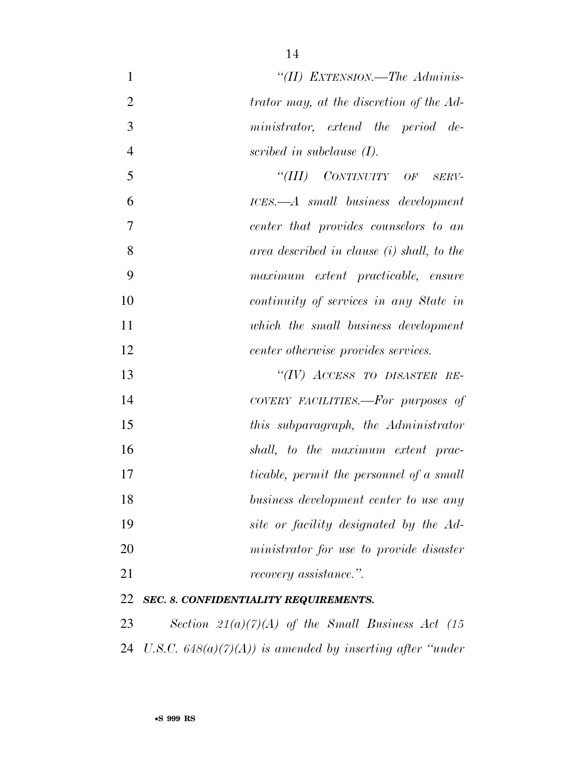| $\mathbf{1}$   | "(II) EXTENSION.—The Adminis-                               |
|----------------|-------------------------------------------------------------|
| $\overline{2}$ | trator may, at the discretion of the Ad-                    |
| 3              | ministrator, extend the period de-                          |
| $\overline{4}$ | scribed in subclause $(I)$ .                                |
| 5              | "(III) CONTINUITY OF<br>SERV-                               |
| 6              | ICES.—A small business development                          |
| 7              | center that provides counselors to an                       |
| 8              | area described in clause (i) shall, to the                  |
| 9              | maximum extent practicable, ensure                          |
| 10             | continuity of services in any State in                      |
| 11             | which the small business development                        |
| 12             | center otherwise provides services.                         |
| 13             | "(IV) ACCESS TO DISASTER RE-                                |
| 14             | COVERY FACILITIES.—For purposes of                          |
| 15             | this subparagraph, the Administrator                        |
| 16             | shall, to the maximum extent prac-                          |
| 17             | <i>ticable, permit the personnel of a small</i>             |
| 18             | business development center to use any                      |
| 19             | site or facility designated by the Ad-                      |
| 20             | ministrator for use to provide disaster                     |
| 21             | <i>recovery assistance.</i> "                               |
| 22             | SEC. 8. CONFIDENTIALITY REQUIREMENTS.                       |
| 23             | Section $21(a)(7)(A)$ of the Small Business Act (15)        |
| 24             | U.S.C. $648(a)(7)(A)$ is amended by inserting after "under" |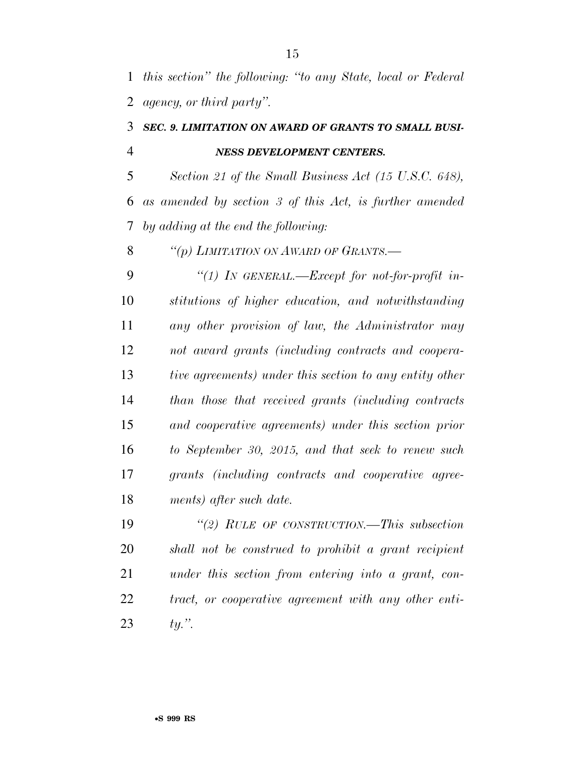*this section'' the following: ''to any State, local or Federal agency, or third party''.* 

#### *SEC. 9. LIMITATION ON AWARD OF GRANTS TO SMALL BUSI-NESS DEVELOPMENT CENTERS.*

 *Section 21 of the Small Business Act (15 U.S.C. 648), as amended by section 3 of this Act, is further amended by adding at the end the following:* 

*''(p) LIMITATION ON AWARD OF GRANTS.—* 

 *''(1) IN GENERAL.—Except for not-for-profit in- stitutions of higher education, and notwithstanding any other provision of law, the Administrator may not award grants (including contracts and coopera- tive agreements) under this section to any entity other than those that received grants (including contracts and cooperative agreements) under this section prior to September 30, 2015, and that seek to renew such grants (including contracts and cooperative agree-ments) after such date.* 

 *''(2) RULE OF CONSTRUCTION.—This subsection shall not be construed to prohibit a grant recipient under this section from entering into a grant, con- tract, or cooperative agreement with any other enti-ty.''.*